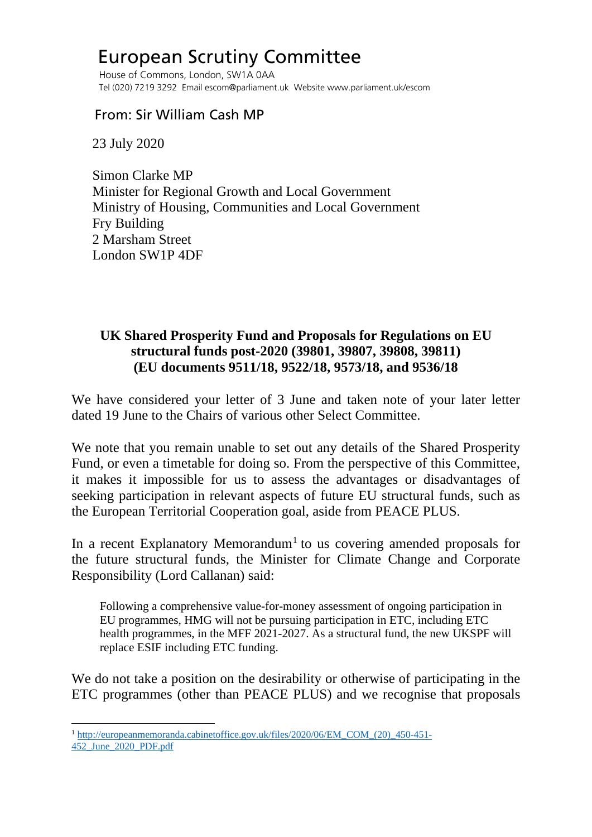## European Scrutiny Committee

 House of Commons, London, SW1A 0AA Tel (020) 7219 3292 Email escom@parliament.uk Website www.parliament.uk/escom

## From: Sir William Cash MP

23 July 2020

 Simon Clarke MP Minister for Regional Growth and Local Government Ministry of Housing, Communities and Local Government Fry Building 2 Marsham Street London SW1P 4DF

## **UK Shared Prosperity Fund and Proposals for Regulations on EU structural funds post-2020 (39801, 39807, 39808, 39811) (EU documents 9511/18, 9522/18, 9573/18, and 9536/18**

We have considered your letter of 3 June and taken note of your later letter dated 19 June to the Chairs of various other Select Committee.

We note that you remain unable to set out any details of the Shared Prosperity Fund, or even a timetable for doing so. From the perspective of this Committee, it makes it impossible for us to assess the advantages or disadvantages of seeking participation in relevant aspects of future EU structural funds, such as the European Territorial Cooperation goal, aside from PEACE PLUS.

In a recent Explanatory Memorandum<sup>[1](#page-0-0)</sup> to us covering amended proposals for the future structural funds, the Minister for Climate Change and Corporate Responsibility (Lord Callanan) said:

Following a comprehensive value-for-money assessment of ongoing participation in EU programmes, HMG will not be pursuing participation in ETC, including ETC health programmes, in the MFF 2021-2027. As a structural fund, the new UKSPF will replace ESIF including ETC funding.

We do not take a position on the desirability or otherwise of participating in the ETC programmes (other than PEACE PLUS) and we recognise that proposals

<span id="page-0-0"></span><sup>&</sup>lt;sup>1</sup> [http://europeanmemoranda.cabinetoffice.gov.uk/files/2020/06/EM\\_COM\\_\(20\)\\_450-451-](http://europeanmemoranda.cabinetoffice.gov.uk/files/2020/06/EM_COM_(20)_450-451-452_June_2020_PDF.pdf) [452\\_June\\_2020\\_PDF.pdf](http://europeanmemoranda.cabinetoffice.gov.uk/files/2020/06/EM_COM_(20)_450-451-452_June_2020_PDF.pdf)